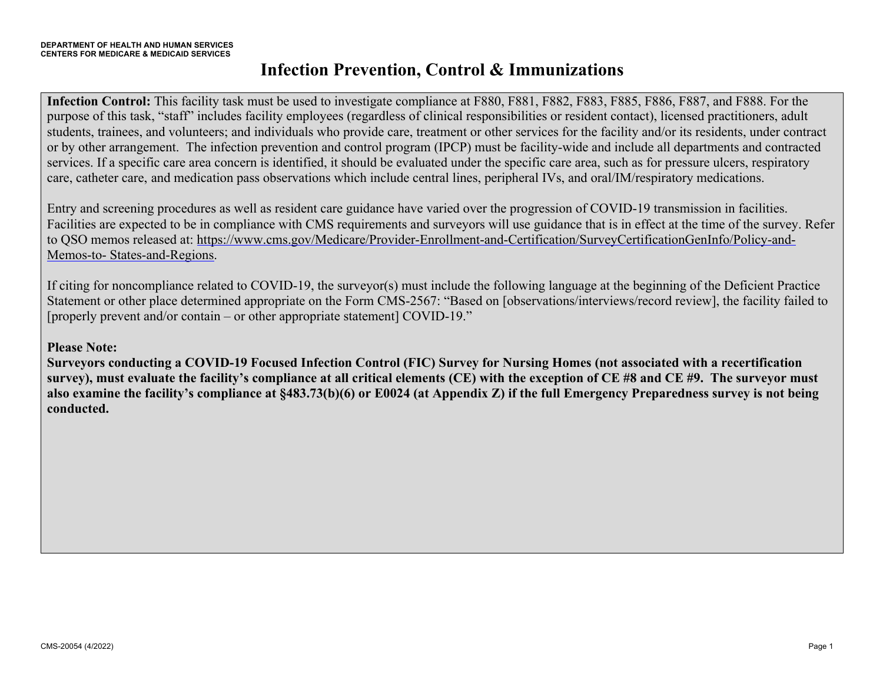**Infection Control:** This facility task must be used to investigate compliance at F880, F881, F882, F883, F885, F886, F887, and F888. For the purpose of this task, "staff" includes facility employees (regardless of clinical responsibilities or resident contact), licensed practitioners, adult students, trainees, and volunteers; and individuals who provide care, treatment or other services for the facility and/or its residents, under contract or by other arrangement. The infection prevention and control program (IPCP) must be facility-wide and include all departments and contracted services. If a specific care area concern is identified, it should be evaluated under the specific care area, such as for pressure ulcers, respiratory care, catheter care, and medication pass observations which include central lines, peripheral IVs, and oral/IM/respiratory medications.

Entry and screening procedures as well as resident care guidance have varied over the progression of COVID-19 transmission in facilities. Facilities are expected to be in compliance with CMS requirements and surveyors will use guidance that is in effect at the time of the survey. Refer to QSO memos released at: https://www.cms.gov/Medicare/Provider-Enrollment-and-Certification/SurveyCertificationGenInfo/Policy-and-Memos-to- States-and-Regions.

If citing for noncompliance related to COVID-19, the surveyor(s) must include the following language at the beginning of the Deficient Practice Statement or other place determined appropriate on the Form CMS-2567: "Based on [observations/interviews/record review], the facility failed to [properly prevent and/or contain – or other appropriate statement] COVID-19."

#### **Please Note:**

**Surveyors conducting a COVID-19 Focused Infection Control (FIC) Survey for Nursing Homes (not associated with a recertification survey), must evaluate the facility's compliance at all critical elements (CE) with the exception of CE #8 and CE #9. The surveyor must also examine the facility's compliance at §483.73(b)(6) or E0024 (at Appendix Z) if the full Emergency Preparedness survey is not being conducted.**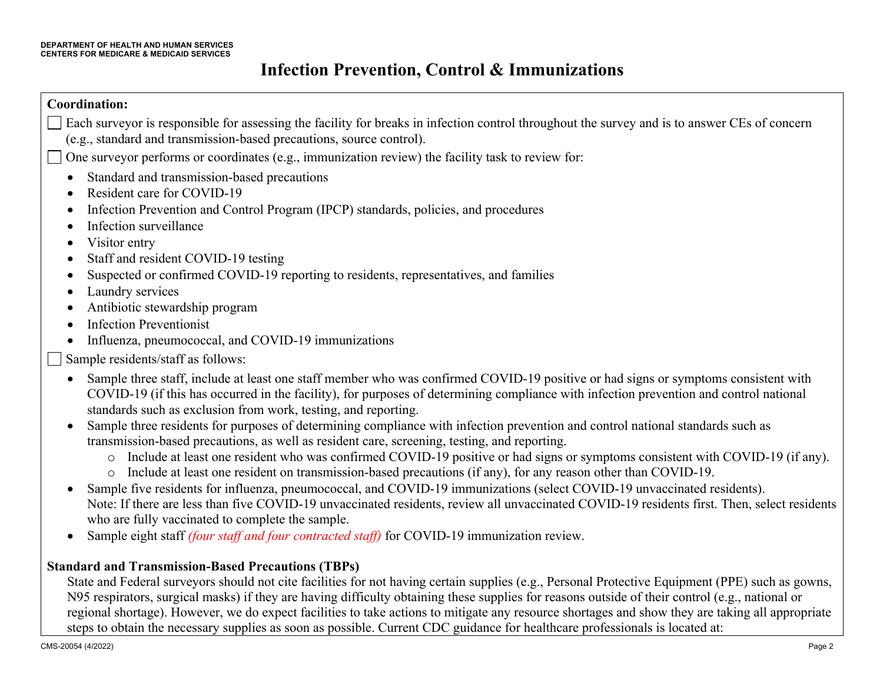| <b>Coordination:</b>                                                                                                                                                                                                                                                                                                                                                                                                                                                                                                                                                                                       |
|------------------------------------------------------------------------------------------------------------------------------------------------------------------------------------------------------------------------------------------------------------------------------------------------------------------------------------------------------------------------------------------------------------------------------------------------------------------------------------------------------------------------------------------------------------------------------------------------------------|
| Each surveyor is responsible for assessing the facility for breaks in infection control throughout the survey and is to answer CEs of concern<br>(e.g., standard and transmission-based precautions, source control).                                                                                                                                                                                                                                                                                                                                                                                      |
| One surveyor performs or coordinates (e.g., immunization review) the facility task to review for:                                                                                                                                                                                                                                                                                                                                                                                                                                                                                                          |
| Standard and transmission-based precautions<br>$\bullet$<br>Resident care for COVID-19<br>$\bullet$<br>Infection Prevention and Control Program (IPCP) standards, policies, and procedures<br>٠<br>Infection surveillance<br>٠<br>Visitor entry<br>٠<br>Staff and resident COVID-19 testing<br>٠<br>Suspected or confirmed COVID-19 reporting to residents, representatives, and families<br>$\bullet$<br>Laundry services<br>٠<br>Antibiotic stewardship program<br>$\bullet$<br><b>Infection Preventionist</b><br>$\bullet$                                                                              |
| Influenza, pneumococcal, and COVID-19 immunizations<br>$\bullet$                                                                                                                                                                                                                                                                                                                                                                                                                                                                                                                                           |
| Sample residents/staff as follows:                                                                                                                                                                                                                                                                                                                                                                                                                                                                                                                                                                         |
| Sample three staff, include at least one staff member who was confirmed COVID-19 positive or had signs or symptoms consistent with<br>$\bullet$<br>COVID-19 (if this has occurred in the facility), for purposes of determining compliance with infection prevention and control national<br>standards such as exclusion from work, testing, and reporting.<br>Sample three residents for purposes of determining compliance with infection prevention and control national standards such as<br>$\bullet$<br>transmission-based precautions, as well as resident care, screening, testing, and reporting. |
| Include at least one resident who was confirmed COVID-19 positive or had signs or symptoms consistent with COVID-19 (if any).<br>$\circ$<br>Include at least one resident on transmission-based precautions (if any), for any reason other than COVID-19.<br>$\circ$                                                                                                                                                                                                                                                                                                                                       |
| Sample five residents for influenza, pneumococcal, and COVID-19 immunizations (select COVID-19 unvaccinated residents).<br>$\bullet$<br>Note: If there are less than five COVID-19 unvaccinated residents, review all unvaccinated COVID-19 residents first. Then, select residents<br>who are fully vaccinated to complete the sample.                                                                                                                                                                                                                                                                    |
| Sample eight staff (four staff and four contracted staff) for COVID-19 immunization review.<br>$\bullet$                                                                                                                                                                                                                                                                                                                                                                                                                                                                                                   |

#### **Standard and Transmission-Based Precautions (TBPs)**

State and Federal surveyors should not cite facilities for not having certain supplies (e.g., Personal Protective Equipment (PPE) such as gowns, N95 respirators, surgical masks) if they are having difficulty obtaining these supplies for reasons outside of their control (e.g., national or regional shortage). However, we do expect facilities to take actions to mitigate any resource shortages and show they are taking all appropriate steps to obtain the necessary supplies as soon as possible. Current CDC guidance for healthcare professionals is located at: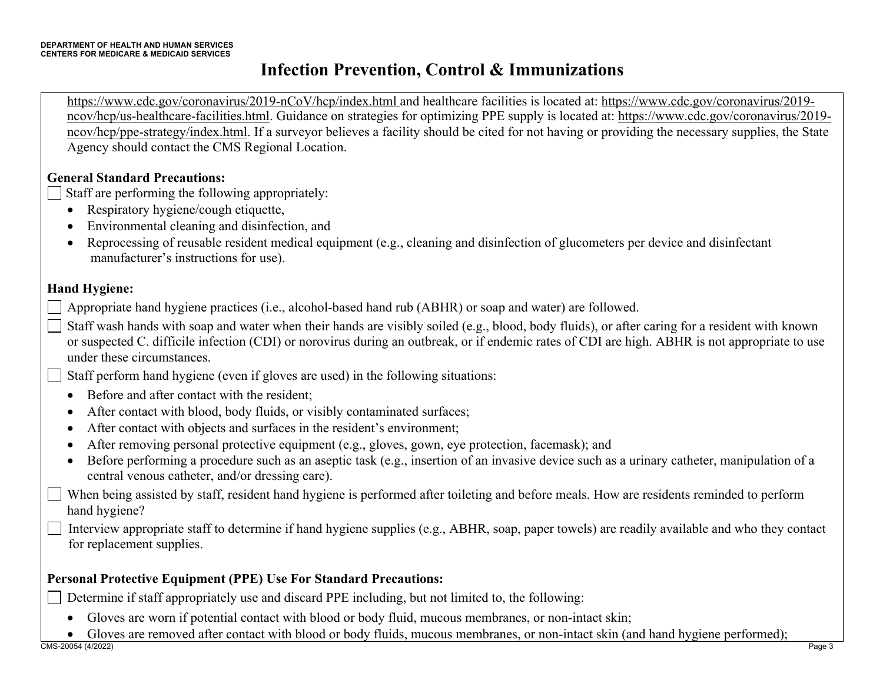https://www.cdc.gov/coronavirus/2019-nCoV/hcp/index.html and healthcare facilities is located at: https://www.cdc.gov/coronavirus/2019 ncov/hcp/us-healthcare-facilities.html. Guidance on strategies for optimizing PPE supply is located at: https://www.cdc.gov/coronavirus/2019 ncov/hcp/ppe-strategy/index.html. If a surveyor believes a facility should be cited for not having or providing the necessary supplies, the State Agency should contact the CMS Regional Location.

#### **General Standard Precautions:**

Staff are performing the following appropriately:  $\Box$ 

- Respiratory hygiene/cough etiquette,
- Environmental cleaning and disinfection, and
- Reprocessing of reusable resident medical equipment (e.g., cleaning and disinfection of glucometers per device and disinfectant manufacturer's instructions for use).

#### **Hand Hygiene:**

- Appropriate hand hygiene practices (i.e., alcohol-based hand rub (ABHR) or soap and water) are followed.
- Staff wash hands with soap and water when their hands are visibly soiled (e.g., blood, body fluids), or after caring for a resident with known or suspected C. difficile infection (CDI) or norovirus during an outbreak, or if endemic rates of CDI are high. ABHR is not appropriate to use under these circumstances.
- Staff perform hand hygiene (even if gloves are used) in the following situations:  $\blacksquare$ 
	- Before and after contact with the resident;
	- After contact with blood, body fluids, or visibly contaminated surfaces;
	- After contact with objects and surfaces in the resident's environment;
	- After removing personal protective equipment (e.g., gloves, gown, eye protection, facemask); and
	- Before performing a procedure such as an aseptic task (e.g., insertion of an invasive device such as a urinary catheter, manipulation of a central venous catheter, and/or dressing care).
- When being assisted by staff, resident hand hygiene is performed after toileting and before meals. How are residents reminded to perform hand hygiene?
- Interview appropriate staff to determine if hand hygiene supplies (e.g., ABHR, soap, paper towels) are readily available and who they contact for replacement supplies.

### **Personal Protective Equipment (PPE) Use For Standard Precautions:**

Determine if staff appropriately use and discard PPE including, but not limited to, the following:  $\blacksquare$ 

- Gloves are worn if potential contact with blood or body fluid, mucous membranes, or non-intact skin;
- Gloves are removed after contact with blood or body fluids, mucous membranes, or non-intact skin (and hand hygiene performed);<br>CMS-20054 (4/2022)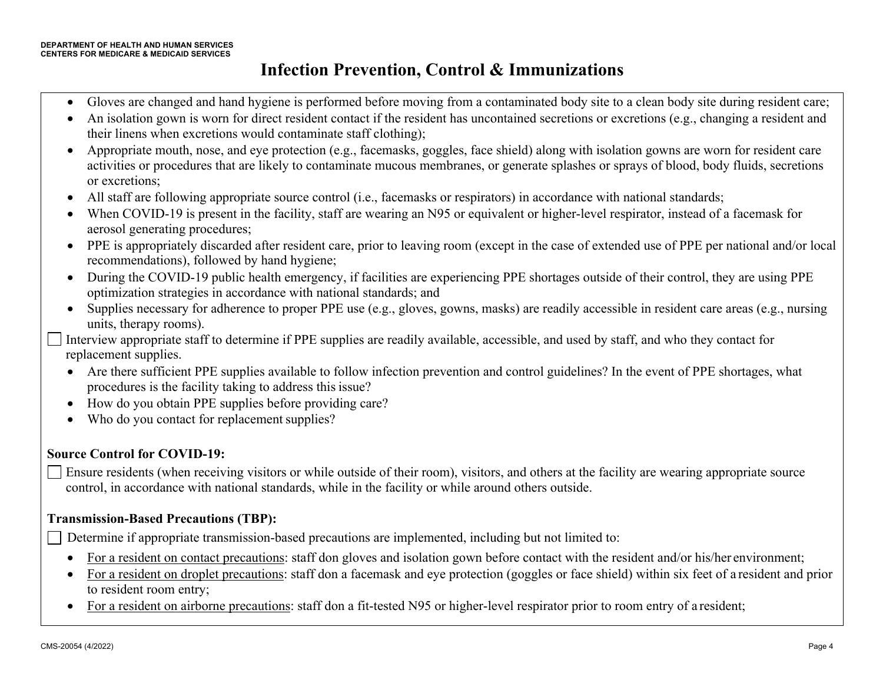- Gloves are changed and hand hygiene is performed before moving from a contaminated body site to a clean body site during resident care;
- An isolation gown is worn for direct resident contact if the resident has uncontained secretions or excretions (e.g., changing a resident and their linens when excretions would contaminate staff clothing);
- Appropriate mouth, nose, and eye protection (e.g., facemasks, goggles, face shield) along with isolation gowns are worn for resident care activities or procedures that are likely to contaminate mucous membranes, or generate splashes or sprays of blood, body fluids, secretions or excretions;
- All staff are following appropriate source control (i.e., facemasks or respirators) in accordance with national standards;
- When COVID-19 is present in the facility, staff are wearing an N95 or equivalent or higher-level respirator, instead of a facemask for aerosol generating procedures;
- PPE is appropriately discarded after resident care, prior to leaving room (except in the case of extended use of PPE per national and/or local recommendations), followed by hand hygiene;
- During the COVID-19 public health emergency, if facilities are experiencing PPE shortages outside of their control, they are using PPE optimization strategies in accordance with national standards; and
- Supplies necessary for adherence to proper PPE use (e.g., gloves, gowns, masks) are readily accessible in resident care areas (e.g., nursing units, therapy rooms).
- Interview appropriate staff to determine if PPE supplies are readily available, accessible, and used by staff, and who they contact for replacement supplies.
- Are there sufficient PPE supplies available to follow infection prevention and control guidelines? In the event of PPE shortages, what procedures is the facility taking to address this issue?
- How do you obtain PPE supplies before providing care?
- Who do you contact for replacement supplies?

#### **Source Control for COVID-19:**

Ensure residents (when receiving visitors or while outside of their room), visitors, and others at the facility are wearing appropriate source  $\blacksquare$ control, in accordance with national standards, while in the facility or while around others outside.

#### **Transmission-Based Precautions (TBP):**

Determine if appropriate transmission-based precautions are implemented, including but not limited to:

- For a resident on contact precautions: staff don gloves and isolation gown before contact with the resident and/or his/her environment;
- For a resident on droplet precautions: staff don a facemask and eye protection (goggles or face shield) within six feet of a resident and prior to resident room entry;
- For a resident on airborne precautions: staff don a fit-tested N95 or higher-level respirator prior to room entry of a resident;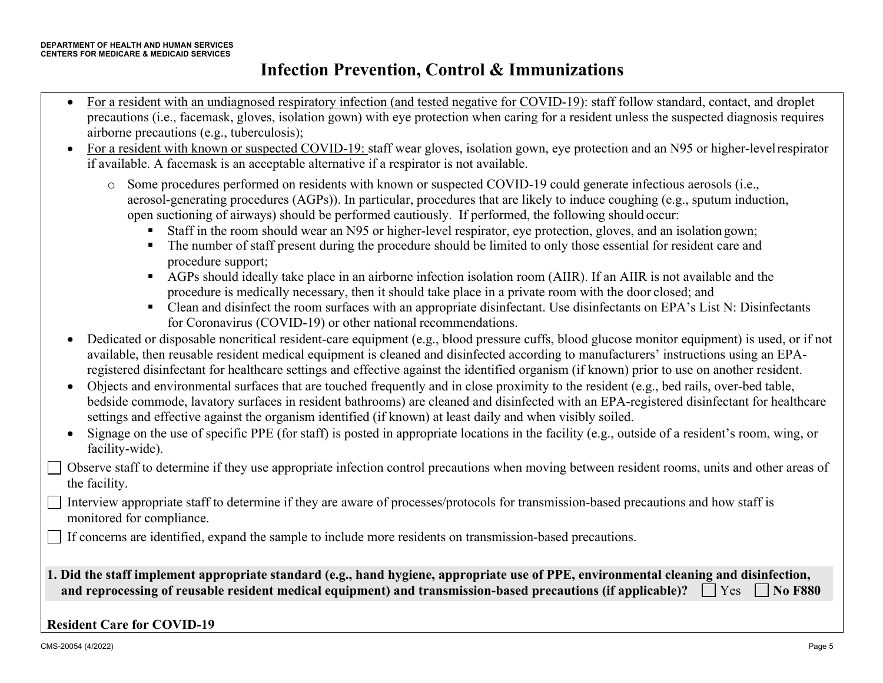- For a resident with an undiagnosed respiratory infection (and tested negative for COVID-19): staff follow standard, contact, and droplet precautions (i.e., facemask, gloves, isolation gown) with eye protection when caring for a resident unless the suspected diagnosis requires airborne precautions (e.g., tuberculosis);
- For a resident with known or suspected COVID-19: staff wear gloves, isolation gown, eye protection and an N95 or higher-levelrespirator if available. A facemask is an acceptable alternative if a respirator is not available.
	- o Some procedures performed on residents with known or suspected COVID-19 could generate infectious aerosols (i.e., aerosol-generating procedures (AGPs)). In particular, procedures that are likely to induce coughing (e.g., sputum induction, open suctioning of airways) should be performed cautiously. If performed, the following should occur:
		- § Staff in the room should wear an N95 or higher-level respirator, eye protection, gloves, and an isolation gown;
		- § The number of staff present during the procedure should be limited to only those essential for resident care and procedure support;
		- AGPs should ideally take place in an airborne infection isolation room (AIIR). If an AIIR is not available and the procedure is medically necessary, then it should take place in a private room with the door closed; and
		- Clean and disinfect the room surfaces with an appropriate disinfectant. Use disinfectants on EPA's List N: Disinfectants for Coronavirus (COVID-19) or other national recommendations.
- Dedicated or disposable noncritical resident-care equipment (e.g., blood pressure cuffs, blood glucose monitor equipment) is used, or if not available, then reusable resident medical equipment is cleaned and disinfected according to manufacturers' instructions using an EPAregistered disinfectant for healthcare settings and effective against the identified organism (if known) prior to use on another resident.
- Objects and environmental surfaces that are touched frequently and in close proximity to the resident (e.g., bed rails, over-bed table, bedside commode, lavatory surfaces in resident bathrooms) are cleaned and disinfected with an EPA-registered disinfectant for healthcare settings and effective against the organism identified (if known) at least daily and when visibly soiled.
- Signage on the use of specific PPE (for staff) is posted in appropriate locations in the facility (e.g., outside of a resident's room, wing, or facility-wide).
- Observe staff to determine if they use appropriate infection control precautions when moving between resident rooms, units and other areas of the facility.
- Interview appropriate staff to determine if they are aware of processes/protocols for transmission-based precautions and how staff is  $\blacksquare$ monitored for compliance.
	- If concerns are identified, expand the sample to include more residents on transmission-based precautions.
- **1. Did the staff implement appropriate standard (e.g., hand hygiene, appropriate use of PPE, environmental cleaning and disinfection, and reprocessing of reusable resident medical equipment) and transmission-based precautions (if applicable)?**  $\Box$  **Yes**  $\Box$  **No F880**

#### **Resident Care for COVID-19**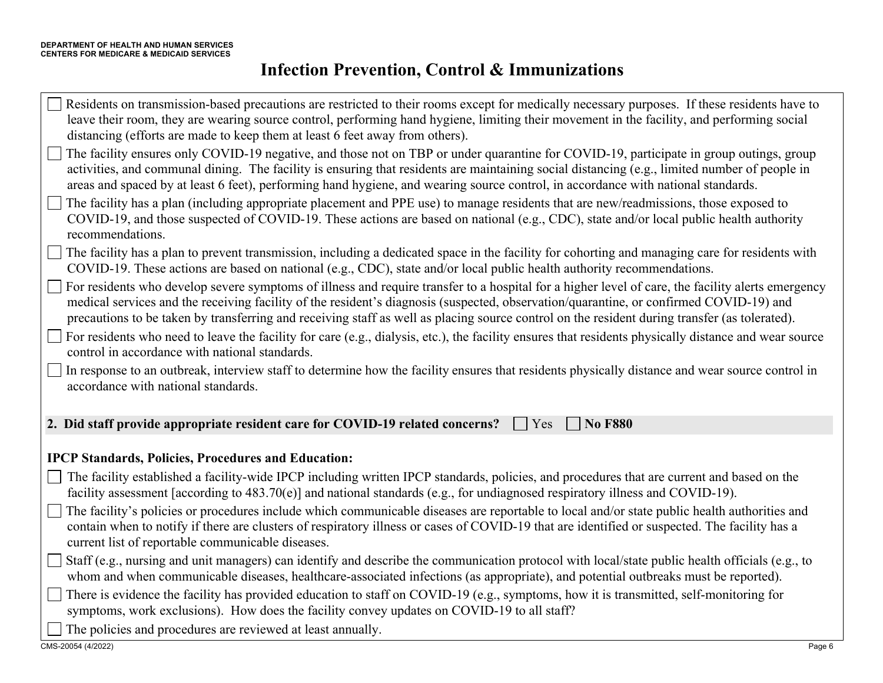| Residents on transmission-based precautions are restricted to their rooms except for medically necessary purposes. If these residents have to<br>leave their room, they are wearing source control, performing hand hygiene, limiting their movement in the facility, and performing social<br>distancing (efforts are made to keep them at least 6 feet away from others).                                                                  |
|----------------------------------------------------------------------------------------------------------------------------------------------------------------------------------------------------------------------------------------------------------------------------------------------------------------------------------------------------------------------------------------------------------------------------------------------|
| The facility ensures only COVID-19 negative, and those not on TBP or under quarantine for COVID-19, participate in group outings, group<br>activities, and communal dining. The facility is ensuring that residents are maintaining social distancing (e.g., limited number of people in<br>areas and spaced by at least 6 feet), performing hand hygiene, and wearing source control, in accordance with national standards.                |
| $\Box$ The facility has a plan (including appropriate placement and PPE use) to manage residents that are new/readmissions, those exposed to<br>COVID-19, and those suspected of COVID-19. These actions are based on national (e.g., CDC), state and/or local public health authority<br>recommendations.                                                                                                                                   |
| The facility has a plan to prevent transmission, including a dedicated space in the facility for cohorting and managing care for residents with<br>COVID-19. These actions are based on national (e.g., CDC), state and/or local public health authority recommendations.                                                                                                                                                                    |
| For residents who develop severe symptoms of illness and require transfer to a hospital for a higher level of care, the facility alerts emergency<br>medical services and the receiving facility of the resident's diagnosis (suspected, observation/quarantine, or confirmed COVID-19) and<br>precautions to be taken by transferring and receiving staff as well as placing source control on the resident during transfer (as tolerated). |
| $\Box$ For residents who need to leave the facility for care (e.g., dialysis, etc.), the facility ensures that residents physically distance and wear source<br>control in accordance with national standards.                                                                                                                                                                                                                               |
| In response to an outbreak, interview staff to determine how the facility ensures that residents physically distance and wear source control in<br>$\mathbf{I}$<br>accordance with national standards.                                                                                                                                                                                                                                       |
| 2. Did staff provide appropriate resident care for COVID-19 related concerns?<br><b>No F880</b><br>Yes                                                                                                                                                                                                                                                                                                                                       |
| <b>IPCP Standards, Policies, Procedures and Education:</b>                                                                                                                                                                                                                                                                                                                                                                                   |
| The facility established a facility-wide IPCP including written IPCP standards, policies, and procedures that are current and based on the<br>facility assessment [according to 483.70(e)] and national standards (e.g., for undiagnosed respiratory illness and COVID-19).                                                                                                                                                                  |
| The facility's policies or procedures include which communicable diseases are reportable to local and/or state public health authorities and<br>contain when to notify if there are clusters of respiratory illness or cases of COVID-19 that are identified or suspected. The facility has a<br>current list of reportable communicable diseases.                                                                                           |
| Staff (e.g., nursing and unit managers) can identify and describe the communication protocol with local/state public health officials (e.g., to<br>whom and when communicable diseases, healthcare-associated infections (as appropriate), and potential outbreaks must be reported).                                                                                                                                                        |
| There is evidence the facility has provided education to staff on COVID-19 (e.g., symptoms, how it is transmitted, self-monitoring for<br>symptoms, work exclusions). How does the facility convey updates on COVID-19 to all staff?                                                                                                                                                                                                         |
| The policies and procedures are reviewed at least annually.                                                                                                                                                                                                                                                                                                                                                                                  |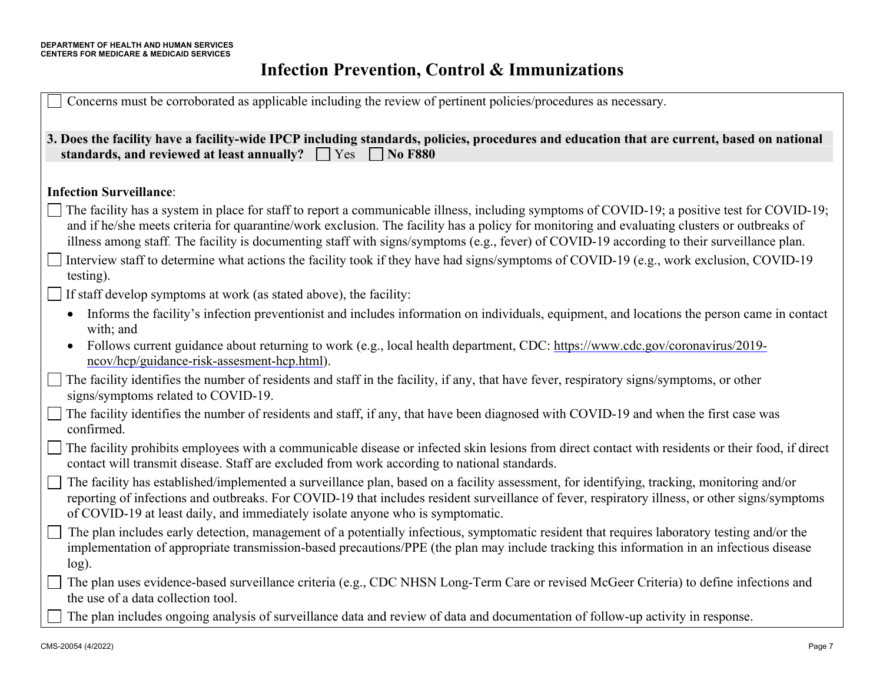| Concerns must be corroborated as applicable including the review of pertinent policies/procedures as necessary.                                                                                                                                                                                                                                                                                                                            |
|--------------------------------------------------------------------------------------------------------------------------------------------------------------------------------------------------------------------------------------------------------------------------------------------------------------------------------------------------------------------------------------------------------------------------------------------|
| 3. Does the facility have a facility-wide IPCP including standards, policies, procedures and education that are current, based on national<br>standards, and reviewed at least annually? $\Box$ Yes $\Box$<br><b>No F880</b>                                                                                                                                                                                                               |
| <b>Infection Surveillance:</b>                                                                                                                                                                                                                                                                                                                                                                                                             |
| The facility has a system in place for staff to report a communicable illness, including symptoms of COVID-19; a positive test for COVID-19;<br>and if he/she meets criteria for quarantine/work exclusion. The facility has a policy for monitoring and evaluating clusters or outbreaks of<br>illness among staff. The facility is documenting staff with signs/symptoms (e.g., fever) of COVID-19 according to their surveillance plan. |
| Interview staff to determine what actions the facility took if they have had signs/symptoms of COVID-19 (e.g., work exclusion, COVID-19<br>testing).                                                                                                                                                                                                                                                                                       |
| If staff develop symptoms at work (as stated above), the facility:                                                                                                                                                                                                                                                                                                                                                                         |
| Informs the facility's infection preventionist and includes information on individuals, equipment, and locations the person came in contact<br>with; and                                                                                                                                                                                                                                                                                   |
| Follows current guidance about returning to work (e.g., local health department, CDC: https://www.cdc.gov/coronavirus/2019-<br>$\bullet$<br>ncov/hcp/guidance-risk-assesment-hcp.html).                                                                                                                                                                                                                                                    |
| The facility identifies the number of residents and staff in the facility, if any, that have fever, respiratory signs/symptoms, or other<br>signs/symptoms related to COVID-19.                                                                                                                                                                                                                                                            |
| The facility identifies the number of residents and staff, if any, that have been diagnosed with COVID-19 and when the first case was<br>confirmed.                                                                                                                                                                                                                                                                                        |
| The facility prohibits employees with a communicable disease or infected skin lesions from direct contact with residents or their food, if direct<br>contact will transmit disease. Staff are excluded from work according to national standards.                                                                                                                                                                                          |
| The facility has established/implemented a surveillance plan, based on a facility assessment, for identifying, tracking, monitoring and/or<br>reporting of infections and outbreaks. For COVID-19 that includes resident surveillance of fever, respiratory illness, or other signs/symptoms<br>of COVID-19 at least daily, and immediately isolate anyone who is symptomatic.                                                             |
| The plan includes early detection, management of a potentially infectious, symptomatic resident that requires laboratory testing and/or the<br>implementation of appropriate transmission-based precautions/PPE (the plan may include tracking this information in an infectious disease<br>$log$ ).                                                                                                                                       |
| The plan uses evidence-based surveillance criteria (e.g., CDC NHSN Long-Term Care or revised McGeer Criteria) to define infections and<br>the use of a data collection tool.                                                                                                                                                                                                                                                               |
| The plan includes ongoing analysis of surveillance data and review of data and documentation of follow-up activity in response.                                                                                                                                                                                                                                                                                                            |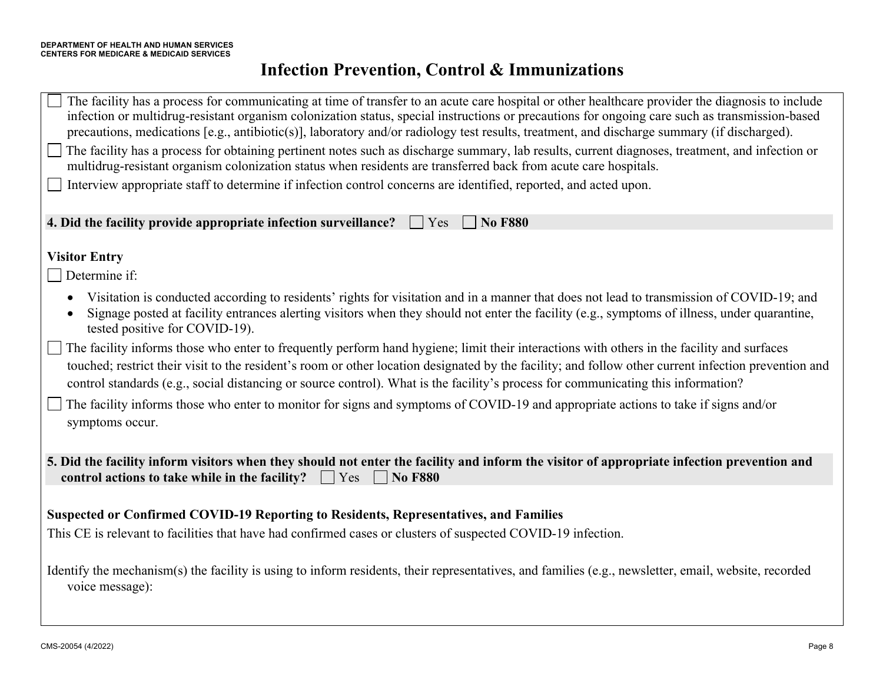| The facility has a process for communicating at time of transfer to an acute care hospital or other healthcare provider the diagnosis to include<br>infection or multidrug-resistant organism colonization status, special instructions or precautions for ongoing care such as transmission-based<br>precautions, medications [e.g., antibiotic(s)], laboratory and/or radiology test results, treatment, and discharge summary (if discharged). |
|---------------------------------------------------------------------------------------------------------------------------------------------------------------------------------------------------------------------------------------------------------------------------------------------------------------------------------------------------------------------------------------------------------------------------------------------------|
| The facility has a process for obtaining pertinent notes such as discharge summary, lab results, current diagnoses, treatment, and infection or<br>multidrug-resistant organism colonization status when residents are transferred back from acute care hospitals.                                                                                                                                                                                |
| Interview appropriate staff to determine if infection control concerns are identified, reported, and acted upon.                                                                                                                                                                                                                                                                                                                                  |
| 4. Did the facility provide appropriate infection surveillance?<br><b>No F880</b><br>Yes                                                                                                                                                                                                                                                                                                                                                          |
| <b>Visitor Entry</b><br>Determine if:                                                                                                                                                                                                                                                                                                                                                                                                             |
| Visitation is conducted according to residents' rights for visitation and in a manner that does not lead to transmission of COVID-19; and<br>Signage posted at facility entrances alerting visitors when they should not enter the facility (e.g., symptoms of illness, under quarantine,<br>tested positive for COVID-19).                                                                                                                       |
| The facility informs those who enter to frequently perform hand hygiene; limit their interactions with others in the facility and surfaces<br>touched; restrict their visit to the resident's room or other location designated by the facility; and follow other current infection prevention and<br>control standards (e.g., social distancing or source control). What is the facility's process for communicating this information?           |
| The facility informs those who enter to monitor for signs and symptoms of COVID-19 and appropriate actions to take if signs and/or<br>symptoms occur.                                                                                                                                                                                                                                                                                             |
| 5. Did the facility inform visitors when they should not enter the facility and inform the visitor of appropriate infection prevention and<br>control actions to take while in the facility? $\Box$ Yes $\Box$ No F880                                                                                                                                                                                                                            |
|                                                                                                                                                                                                                                                                                                                                                                                                                                                   |
| Suspected or Confirmed COVID-19 Reporting to Residents, Representatives, and Families                                                                                                                                                                                                                                                                                                                                                             |
| This CE is relevant to facilities that have had confirmed cases or clusters of suspected COVID-19 infection.                                                                                                                                                                                                                                                                                                                                      |
| Identify the mechanism(s) the facility is using to inform residents, their representatives, and families (e.g., newsletter, email, website, recorded<br>voice message):                                                                                                                                                                                                                                                                           |
|                                                                                                                                                                                                                                                                                                                                                                                                                                                   |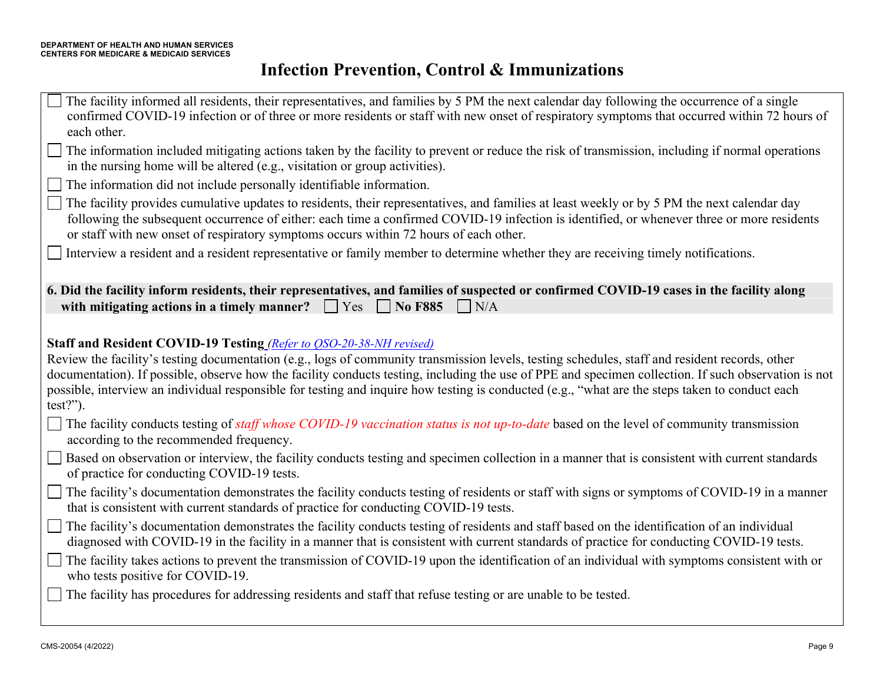The facility informed all residents, their representatives, and families by 5 PM the next calendar day following the occurrence of a single confirmed COVID-19 infection or of three or more residents or staff with new onset of respiratory symptoms that occurred within 72 hours of each other.

The information included mitigating actions taken by the facility to prevent or reduce the risk of transmission, including if normal operations in the nursing home will be altered (e.g., visitation or group activities).

The information did not include personally identifiable information.

The facility provides cumulative updates to residents, their representatives, and families at least weekly or by 5 PM the next calendar day following the subsequent occurrence of either: each time a confirmed COVID-19 infection is identified, or whenever three or more residents or staff with new onset of respiratory symptoms occurs within 72 hours of each other.

Interview a resident and a resident representative or family member to determine whether they are receiving timely notifications.

| 6. Did the facility inform residents, their representatives, and families of suspected or confirmed COVID-19 cases in the facility along |  |  |  |
|------------------------------------------------------------------------------------------------------------------------------------------|--|--|--|
| with mitigating actions in a timely manner? $\Box$ Yes $\Box$ No F885 $\Box$ N/A                                                         |  |  |  |

#### **Staff and Resident COVID-19 Testing** *(Refer to QSO-20-38-NH revised)*

Review the facility's testing documentation (e.g., logs of community transmission levels, testing schedules, staff and resident records, other documentation). If possible, observe how the facility conducts testing, including the use of PPE and specimen collection. If such observation is not possible, interview an individual responsible for testing and inquire how testing is conducted (e.g., "what are the steps taken to conduct each test?").

The facility conducts testing of *staff whose COVID-19 vaccination status is not up-to-date* based on the level of community transmission according to the recommended frequency.

- Based on observation or interview, the facility conducts testing and specimen collection in a manner that is consistent with current standards of practice for conducting COVID-19 tests.
- The facility's documentation demonstrates the facility conducts testing of residents or staff with signs or symptoms of COVID-19 in a manner that is consistent with current standards of practice for conducting COVID-19 tests.
- The facility's documentation demonstrates the facility conducts testing of residents and staff based on the identification of an individual diagnosed with COVID-19 in the facility in a manner that is consistent with current standards of practice for conducting COVID-19 tests.
- The facility takes actions to prevent the transmission of COVID-19 upon the identification of an individual with symptoms consistent with or who tests positive for COVID-19.

The facility has procedures for addressing residents and staff that refuse testing or are unable to be tested.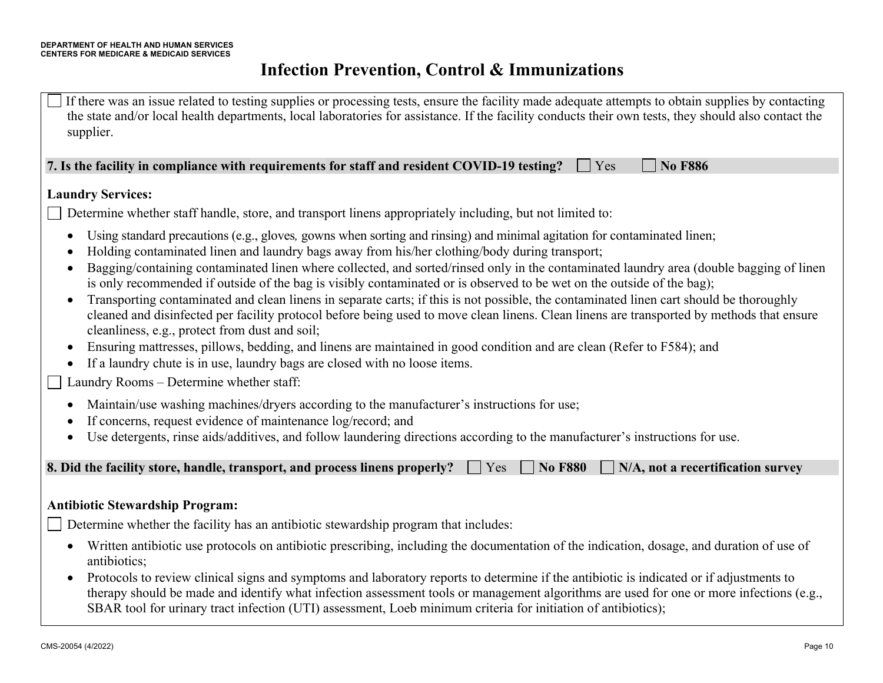If there was an issue related to testing supplies or processing tests, ensure the facility made adequate attempts to obtain supplies by contacting the state and/or local health departments, local laboratories for assistance. If the facility conducts their own tests, they should also contact the supplier.

**7.** Is the facility in compliance with requirements for staff and resident COVID-19 testing?  $\Box$  Yes  $\Box$  No F886

#### **Laundry Services:**

Determine whether staff handle, store, and transport linens appropriately including, but not limited to:

- Using standard precautions (e.g., gloves*,* gowns when sorting and rinsing) and minimal agitation for contaminated linen;
- Holding contaminated linen and laundry bags away from his/her clothing/body during transport;
- Bagging/containing contaminated linen where collected, and sorted/rinsed only in the contaminated laundry area (double bagging of linen is only recommended if outside of the bag is visibly contaminated or is observed to be wet on the outside of the bag);
- Transporting contaminated and clean linens in separate carts; if this is not possible, the contaminated linen cart should be thoroughly cleaned and disinfected per facility protocol before being used to move clean linens. Clean linens are transported by methods that ensure cleanliness, e.g., protect from dust and soil;
- Ensuring mattresses, pillows, bedding, and linens are maintained in good condition and are clean (Refer to F584); and
- If a laundry chute is in use, laundry bags are closed with no loose items.

Laundry Rooms – Determine whether staff:  $\overline{\phantom{a}}$ 

- Maintain/use washing machines/dryers according to the manufacturer's instructions for use;
- If concerns, request evidence of maintenance log/record; and
- Use detergents, rinse aids/additives, and follow laundering directions according to the manufacturer's instructions for use.

| 8. Did the facility store, handle, transport, and process linens properly? $\Box$ Yes $\Box$ No F880 $\Box$ N/A, not a recertification survey |  |  |  |
|-----------------------------------------------------------------------------------------------------------------------------------------------|--|--|--|
|-----------------------------------------------------------------------------------------------------------------------------------------------|--|--|--|

#### **Antibiotic Stewardship Program:**

Determine whether the facility has an antibiotic stewardship program that includes:

- Written antibiotic use protocols on antibiotic prescribing, including the documentation of the indication, dosage, and duration of use of antibiotics;
- Protocols to review clinical signs and symptoms and laboratory reports to determine if the antibiotic is indicated or if adjustments to therapy should be made and identify what infection assessment tools or management algorithms are used for one or more infections (e.g., SBAR tool for urinary tract infection (UTI) assessment, Loeb minimum criteria for initiation of antibiotics);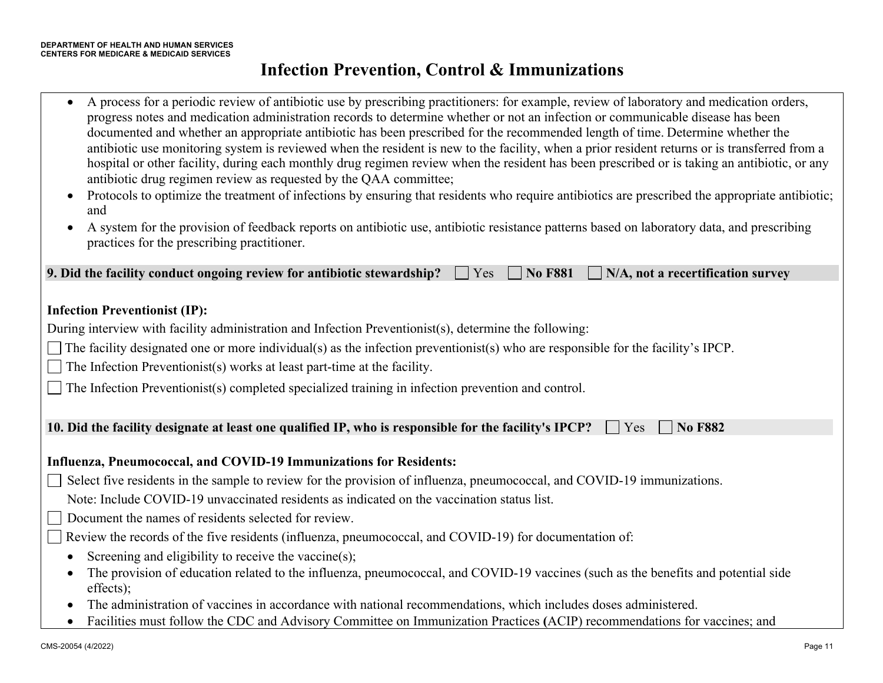• A process for a periodic review of antibiotic use by prescribing practitioners: for example, review of laboratory and medication orders, progress notes and medication administration records to determine whether or not an infection or communicable disease has been documented and whether an appropriate antibiotic has been prescribed for the recommended length of time. Determine whether the antibiotic use monitoring system is reviewed when the resident is new to the facility, when a prior resident returns or is transferred from a hospital or other facility, during each monthly drug regimen review when the resident has been prescribed or is taking an antibiotic, or any antibiotic drug regimen review as requested by the QAA committee; • Protocols to optimize the treatment of infections by ensuring that residents who require antibiotics are prescribed the appropriate antibiotic; and • A system for the provision of feedback reports on antibiotic use, antibiotic resistance patterns based on laboratory data, and prescribing practices for the prescribing practitioner. **9. Did the facility conduct ongoing review for antibiotic stewardship?**  $\Box$  Yes  $\Box$  No F881  $\Box$  N/A, not a recertification survey **Infection Preventionist (IP):**  During interview with facility administration and Infection Preventionist(s), determine the following: The facility designated one or more individual(s) as the infection preventionist(s) who are responsible for the facility's IPCP.  $\Box$  The Infection Preventionist(s) works at least part-time at the facility. The Infection Preventionist(s) completed specialized training in infection prevention and control. **10. Did the facility designate at least one qualified IP, who is responsible for the facility's IPCP?**  $\Box$  Yes  $\Box$  No F882 **Influenza, Pneumococcal, and COVID-19 Immunizations for Residents:**  Select five residents in the sample to review for the provision of influenza, pneumococcal, and COVID-19 immunizations. Note: Include COVID-19 unvaccinated residents as indicated on the vaccination status list. Document the names of residents selected for review.

Review the records of the five residents (influenza, pneumococcal, and COVID-19) for documentation of:

- Screening and eligibility to receive the vaccine(s);
- The provision of education related to the influenza, pneumococcal, and COVID-19 vaccines (such as the benefits and potential side effects);
- The administration of vaccines in accordance with national recommendations, which includes doses administered.
- Facilities must follow the CDC and Advisory Committee on Immunization Practices **(**ACIP) recommendations for vaccines; and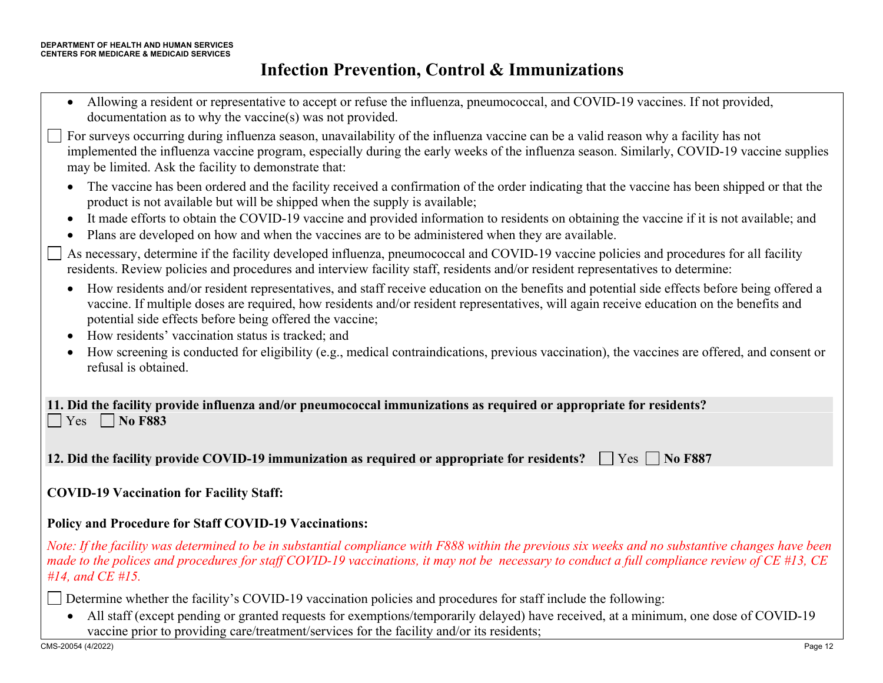| Allowing a resident or representative to accept or refuse the influenza, pneumococcal, and COVID-19 vaccines. If not provided,<br>$\bullet$<br>documentation as to why the vaccine(s) was not provided.                                                                                                                                                                                                                             |
|-------------------------------------------------------------------------------------------------------------------------------------------------------------------------------------------------------------------------------------------------------------------------------------------------------------------------------------------------------------------------------------------------------------------------------------|
| For surveys occurring during influenza season, unavailability of the influenza vaccine can be a valid reason why a facility has not<br>implemented the influenza vaccine program, especially during the early weeks of the influenza season. Similarly, COVID-19 vaccine supplies<br>may be limited. Ask the facility to demonstrate that:                                                                                          |
| The vaccine has been ordered and the facility received a confirmation of the order indicating that the vaccine has been shipped or that the<br>$\bullet$<br>product is not available but will be shipped when the supply is available;<br>It made efforts to obtain the COVID-19 vaccine and provided information to residents on obtaining the vaccine if it is not available; and<br>$\bullet$                                    |
| Plans are developed on how and when the vaccines are to be administered when they are available.<br>$\bullet$                                                                                                                                                                                                                                                                                                                       |
| As necessary, determine if the facility developed influenza, pneumococcal and COVID-19 vaccine policies and procedures for all facility<br>residents. Review policies and procedures and interview facility staff, residents and/or resident representatives to determine:                                                                                                                                                          |
| How residents and/or resident representatives, and staff receive education on the benefits and potential side effects before being offered a<br>$\bullet$<br>vaccine. If multiple doses are required, how residents and/or resident representatives, will again receive education on the benefits and<br>potential side effects before being offered the vaccine;<br>How residents' vaccination status is tracked; and<br>$\bullet$ |
| How screening is conducted for eligibility (e.g., medical contraindications, previous vaccination), the vaccines are offered, and consent or<br>$\bullet$<br>refusal is obtained.                                                                                                                                                                                                                                                   |
| 11. Did the facility provide influenza and/or pneumococcal immunizations as required or appropriate for residents?                                                                                                                                                                                                                                                                                                                  |
| <b>No F883</b><br>Yes                                                                                                                                                                                                                                                                                                                                                                                                               |
| 12. Did the facility provide COVID-19 immunization as required or appropriate for residents?<br>$ $ Yes $ $ No F887                                                                                                                                                                                                                                                                                                                 |
| <b>COVID-19 Vaccination for Facility Staff:</b>                                                                                                                                                                                                                                                                                                                                                                                     |
| <b>Policy and Procedure for Staff COVID-19 Vaccinations:</b>                                                                                                                                                                                                                                                                                                                                                                        |
| Note: If the facility was determined to be in substantial compliance with F888 within the previous six weeks and no substantive changes have been<br>made to the polices and procedures for staff COVID-19 vaccinations, it may not be necessary to conduct a full compliance review of CE #13, CE<br>$#14$ , and CE $#15$ .                                                                                                        |

Determine whether the facility's COVID-19 vaccination policies and procedures for staff include the following:

• All staff (except pending or granted requests for exemptions/temporarily delayed) have received, at a minimum, one dose of COVID-19 vaccine prior to providing care/treatment/services for the facility and/or its residents;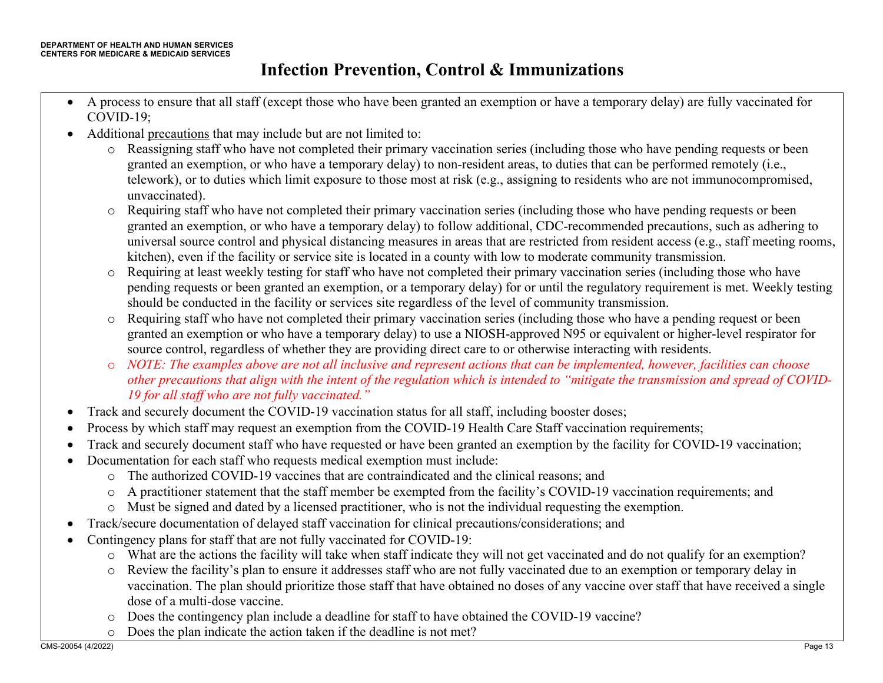- A process to ensure that all staff (except those who have been granted an exemption or have a temporary delay) are fully vaccinated for COVID-19;
- Additional precautions that may include but are not limited to:
	- o Reassigning staff who have not completed their primary vaccination series (including those who have pending requests or been granted an exemption, or who have a temporary delay) to non-resident areas, to duties that can be performed remotely (i.e., telework), or to duties which limit exposure to those most at risk (e.g., assigning to residents who are not immunocompromised, unvaccinated).
	- o Requiring staff who have not completed their primary vaccination series (including those who have pending requests or been granted an exemption, or who have a temporary delay) to follow additional, CDC-recommended precautions, such as adhering to universal source control and physical distancing measures in areas that are restricted from resident access (e.g., staff meeting rooms, kitchen), even if the facility or service site is located in a county with low to moderate community transmission.
	- o Requiring at least weekly testing for staff who have not completed their primary vaccination series (including those who have pending requests or been granted an exemption, or a temporary delay) for or until the regulatory requirement is met. Weekly testing should be conducted in the facility or services site regardless of the level of community transmission.
	- o Requiring staff who have not completed their primary vaccination series (including those who have a pending request or been granted an exemption or who have a temporary delay) to use a NIOSH-approved N95 or equivalent or higher-level respirator for source control, regardless of whether they are providing direct care to or otherwise interacting with residents.
	- o *NOTE: The examples above are not all inclusive and represent actions that can be implemented, however, facilities can choose other precautions that align with the intent of the regulation which is intended to "mitigate the transmission and spread of COVID-19 for all staff who are not fully vaccinated."*
- Track and securely document the COVID-19 vaccination status for all staff, including booster doses;
- Process by which staff may request an exemption from the COVID-19 Health Care Staff vaccination requirements;
- Track and securely document staff who have requested or have been granted an exemption by the facility for COVID-19 vaccination;
- Documentation for each staff who requests medical exemption must include:
	- o The authorized COVID-19 vaccines that are contraindicated and the clinical reasons; and
	- o A practitioner statement that the staff member be exempted from the facility's COVID-19 vaccination requirements; and
	- o Must be signed and dated by a licensed practitioner, who is not the individual requesting the exemption.
- Track/secure documentation of delayed staff vaccination for clinical precautions/considerations; and
- Contingency plans for staff that are not fully vaccinated for COVID-19:
	- o What are the actions the facility will take when staff indicate they will not get vaccinated and do not qualify for an exemption?
	- o Review the facility's plan to ensure it addresses staff who are not fully vaccinated due to an exemption or temporary delay in vaccination. The plan should prioritize those staff that have obtained no doses of any vaccine over staff that have received a single dose of a multi-dose vaccine.
	- o Does the contingency plan include a deadline for staff to have obtained the COVID-19 vaccine?
	- o Does the plan indicate the action taken if the deadline is not met?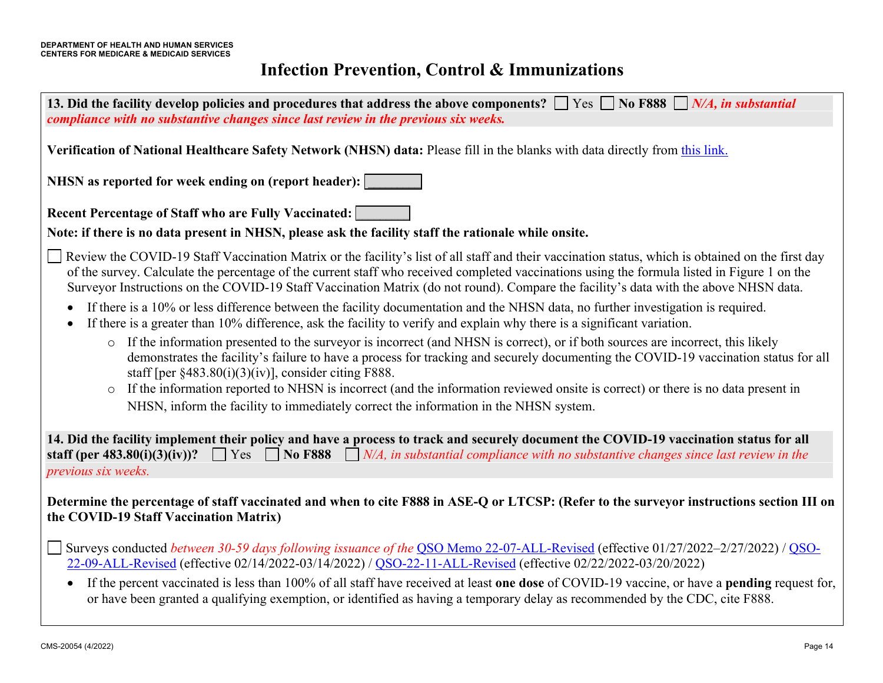| 13. Did the facility develop policies and procedures that address the above components? $\Box$ Yes $\Box$ No F888 $\Box$ N/A, in substantial<br>compliance with no substantive changes since last review in the previous six weeks.                                                                                                                                                                                                                                                        |
|--------------------------------------------------------------------------------------------------------------------------------------------------------------------------------------------------------------------------------------------------------------------------------------------------------------------------------------------------------------------------------------------------------------------------------------------------------------------------------------------|
| Verification of National Healthcare Safety Network (NHSN) data: Please fill in the blanks with data directly from this link.                                                                                                                                                                                                                                                                                                                                                               |
| NHSN as reported for week ending on (report header):                                                                                                                                                                                                                                                                                                                                                                                                                                       |
| <b>Recent Percentage of Staff who are Fully Vaccinated:</b>                                                                                                                                                                                                                                                                                                                                                                                                                                |
| Note: if there is no data present in NHSN, please ask the facility staff the rationale while onsite.                                                                                                                                                                                                                                                                                                                                                                                       |
| Review the COVID-19 Staff Vaccination Matrix or the facility's list of all staff and their vaccination status, which is obtained on the first day<br>of the survey. Calculate the percentage of the current staff who received completed vaccinations using the formula listed in Figure 1 on the<br>Surveyor Instructions on the COVID-19 Staff Vaccination Matrix (do not round). Compare the facility's data with the above NHSN data.                                                  |
| If there is a 10% or less difference between the facility documentation and the NHSN data, no further investigation is required.<br>If there is a greater than 10% difference, ask the facility to verify and explain why there is a significant variation.                                                                                                                                                                                                                                |
| If the information presented to the surveyor is incorrect (and NHSN is correct), or if both sources are incorrect, this likely<br>$\circ$<br>demonstrates the facility's failure to have a process for tracking and securely documenting the COVID-19 vaccination status for all<br>staff [per $§483.80(i)(3)(iv)$ ], consider citing F888.<br>If the information reported to NHSN is incorrect (and the information reviewed onsite is correct) or there is no data present in<br>$\circ$ |
| NHSN, inform the facility to immediately correct the information in the NHSN system.                                                                                                                                                                                                                                                                                                                                                                                                       |
| 14. Did the facility implement their policy and have a process to track and securely document the COVID-19 vaccination status for all<br>staff (per 483.80(i)(3)(iv))? $\Box$ Yes $\Box$ No F888 $\Box$ N/A, in substantial compliance with no substantive changes since last review in the<br>previous six weeks.                                                                                                                                                                         |
| Determine the percentage of staff vaccinated and when to cite F888 in ASE-Q or LTCSP: (Refer to the surveyor instructions section III on<br>the COVID-19 Staff Vaccination Matrix)                                                                                                                                                                                                                                                                                                         |
| Surveys conducted <i>between 30-59 days following issuance of the QSO Memo 22-07-ALL-Revised</i> (effective 01/27/2022–2/27/2022) / QSO-<br>22-09-ALL-Revised (effective 02/14/2022-03/14/2022) / QSO-22-11-ALL-Revised (effective 02/22/2022-03/20/2022)                                                                                                                                                                                                                                  |
| If the percent vaccinated is less than 100% of all staff have received at least one dose of COVID-19 vaccine, or have a pending request for,<br>or have been granted a qualifying exemption, or identified as having a temporary delay as recommended by the CDC, cite F888.                                                                                                                                                                                                               |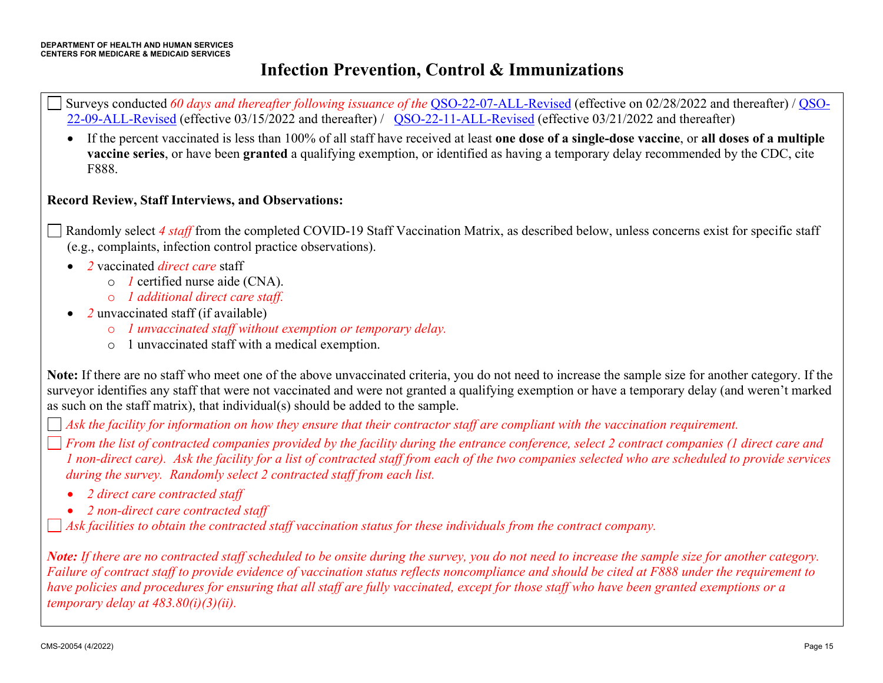- Surveys conducted *60 days and thereafter following issuance of the* QSO-22-07-ALL-Revised (effective on 02/28/2022 and thereafter) / QSO-22-09-ALL-Revised (effective 03/15/2022 and thereafter) / QSO-22-11-ALL-Revised (effective 03/21/2022 and thereafter)
	- If the percent vaccinated is less than 100% of all staff have received at least **one dose of a single-dose vaccine**, or **all doses of a multiple vaccine series**, or have been **granted** a qualifying exemption, or identified as having a temporary delay recommended by the CDC, cite F888.

#### **Record Review, Staff Interviews, and Observations:**

- Randomly select *4 staff* from the completed COVID-19 Staff Vaccination Matrix, as described below, unless concerns exist for specific staff (e.g., complaints, infection control practice observations).
	- *2* vaccinated *direct care* staff
		- o *1* certified nurse aide (CNA).
		- o *1 additional direct care staff.*
	- *2* unvaccinated staff (if available)
		- o *1 unvaccinated staff without exemption or temporary delay.*
		- o 1 unvaccinated staff with a medical exemption.

**Note:** If there are no staff who meet one of the above unvaccinated criteria, you do not need to increase the sample size for another category. If the surveyor identifies any staff that were not vaccinated and were not granted a qualifying exemption or have a temporary delay (and weren't marked as such on the staff matrix), that individual(s) should be added to the sample.

*Ask the facility for information on how they ensure that their contractor staff are compliant with the vaccination requirement.* 

*From the list of contracted companies provided by the facility during the entrance conference, select 2 contract companies (1 direct care and 1 non-direct care). Ask the facility for a list of contracted staff from each of the two companies selected who are scheduled to provide services during the survey. Randomly select 2 contracted staff from each list.* 

- *2 direct care contracted staff*
- *2 non-direct care contracted staff*

*Ask facilities to obtain the contracted staff vaccination status for these individuals from the contract company.*

*Note: If there are no contracted staff scheduled to be onsite during the survey, you do not need to increase the sample size for another category. Failure of contract staff to provide evidence of vaccination status reflects noncompliance and should be cited at F888 under the requirement to have policies and procedures for ensuring that all staff are fully vaccinated, except for those staff who have been granted exemptions or a temporary delay at 483.80(i)(3)(ii).*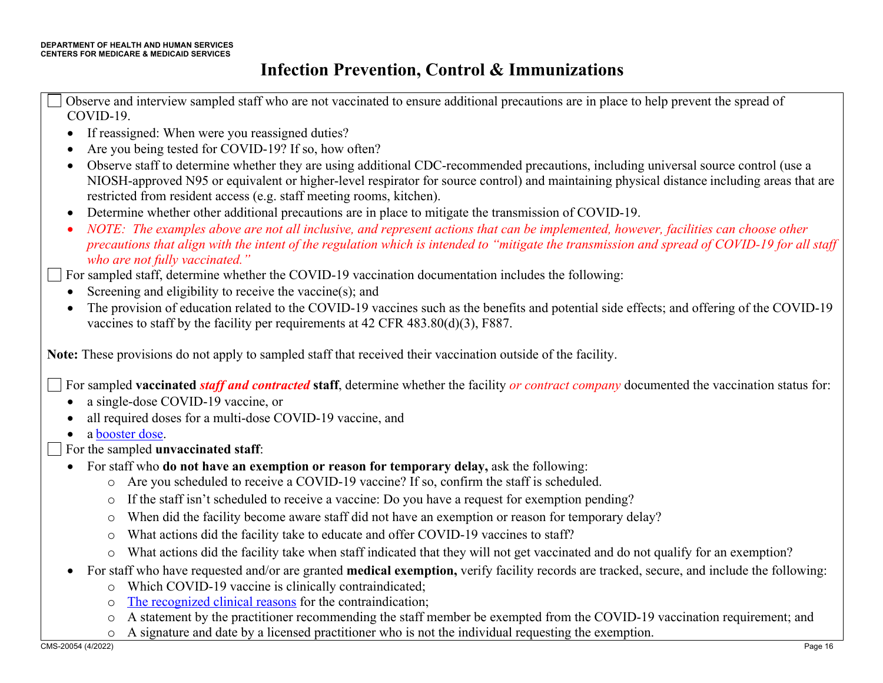Observe and interview sampled staff who are not vaccinated to ensure additional precautions are in place to help prevent the spread of COVID-19.

- If reassigned: When were you reassigned duties?
- Are you being tested for COVID-19? If so, how often?
- Observe staff to determine whether they are using additional CDC-recommended precautions, including universal source control (use a NIOSH-approved N95 or equivalent or higher-level respirator for source control) and maintaining physical distance including areas that are restricted from resident access (e.g. staff meeting rooms, kitchen).
- Determine whether other additional precautions are in place to mitigate the transmission of COVID-19.
- *NOTE: The examples above are not all inclusive, and represent actions that can be implemented, however, facilities can choose other precautions that align with the intent of the regulation which is intended to "mitigate the transmission and spread of COVID-19 for all staff who are not fully vaccinated."*

For sampled staff, determine whether the COVID-19 vaccination documentation includes the following:

- Screening and eligibility to receive the vaccine $(s)$ ; and
- The provision of education related to the COVID-19 vaccines such as the benefits and potential side effects; and offering of the COVID-19 vaccines to staff by the facility per requirements at 42 CFR 483.80(d)(3), F887.

**Note:** These provisions do not apply to sampled staff that received their vaccination outside of the facility.

For sampled **vaccinated** *staff and contracted* **staff**, determine whether the facility *or contract company* documented the vaccination status for:

- a single-dose COVID-19 vaccine, or
- all required doses for a multi-dose COVID-19 vaccine, and
- a booster dose.
- For the sampled **unvaccinated staff**:
	- For staff who **do not have an exemption or reason for temporary delay,** ask the following:
		- o Are you scheduled to receive a COVID-19 vaccine? If so, confirm the staff is scheduled.
		- o If the staff isn't scheduled to receive a vaccine: Do you have a request for exemption pending?
		- o When did the facility become aware staff did not have an exemption or reason for temporary delay?
		- o What actions did the facility take to educate and offer COVID-19 vaccines to staff?
		- o What actions did the facility take when staff indicated that they will not get vaccinated and do not qualify for an exemption?
	- For staff who have requested and/or are granted **medical exemption,** verify facility records are tracked, secure, and include the following:
		- o Which COVID-19 vaccine is clinically contraindicated;
		- o The recognized clinical reasons for the contraindication;
		- o A statement by the practitioner recommending the staff member be exempted from the COVID-19 vaccination requirement; and
		- o A signature and date by a licensed practitioner who is not the individual requesting the exemption.